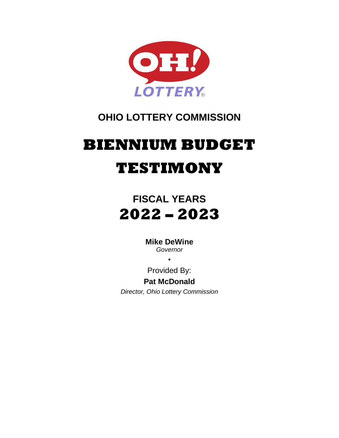

### **OHIO LOTTERY COMMISSION**

# **BIENNIUM BUDGET TESTIMONY**

## **FISCAL YEARS 2022 – 2023**

**Mike DeWine** *Governor*

•

Provided By:

**Pat McDonald**

*Director, Ohio Lottery Commission*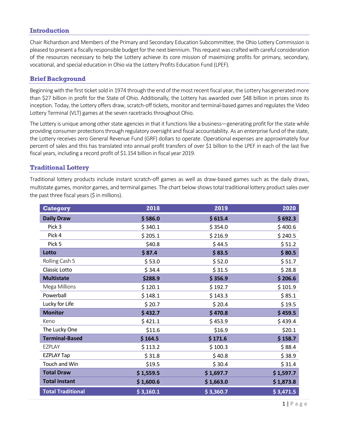#### **Introduction**

Chair Richardson and Members of the Primary and Secondary Education Subcommittee, the Ohio Lottery Commission is pleased to present a fiscally responsible budget for the next biennium. This request was crafted with careful consideration of the resources necessary to help the Lottery achieve its core mission of maximizing profits for primary, secondary, vocational, and special education in Ohio via the Lottery Profits Education Fund (LPEF).

#### **Brief Background**

Beginning with the first ticket sold in 1974 through the end of the most recent fiscal year, the Lottery has generated more than \$27 billion in profit for the State of Ohio. Additionally, the Lottery has awarded over \$48 billion in prizes since its inception. Today, the Lottery offers draw, scratch-off tickets, monitor and terminal-based games and regulates the Video Lottery Terminal (VLT) games at the seven racetracks throughout Ohio.

The Lottery is unique among other state agencies in that it functions like a business—generating profit for the state while providing consumer protections through regulatory oversight and fiscal accountability. As an enterprise fund of the state, the Lottery receives zero General Revenue Fund (GRF) dollars to operate. Operational expenses are approximately four percent of sales and this has translated into annual profit transfers of over \$1 billion to the LPEF in each of the last five fiscal years, including a record profit of \$1.154 billion in fiscal year 2019.

#### **Traditional Lottery**

Traditional lottery products include instant scratch-off games as well as draw-based games such as the daily draws, multistate games, monitor games, and terminal games. The chart below shows total traditional lottery product sales over the past three fiscal years (\$ in millions).

| <b>Category</b>          | 2018      | 2019      | 2020      |  |
|--------------------------|-----------|-----------|-----------|--|
| <b>Daily Draw</b>        | \$586.0   | \$615.4   | \$692.3   |  |
| Pick 3                   | \$340.1   | \$354.0   | \$400.6   |  |
| Pick 4                   | \$205.1   | \$216.9   | \$240.5   |  |
| Pick 5                   | \$40.8    | \$44.5    | \$51.2    |  |
| Lotto                    | \$87.4    | \$83.5    | \$80.5    |  |
| Rolling Cash 5           | \$53.0    | \$52.0    | \$51.7    |  |
| <b>Classic Lotto</b>     | \$34.4    | \$31.5    | \$28.8    |  |
| <b>Multistate</b>        | \$288.9   | \$356.9   | \$206.6   |  |
| Mega Millions            | \$120.1   | \$192.7   | \$101.9   |  |
| Powerball                | \$148.1   | \$143.3   | \$85.1    |  |
| Lucky for Life           | \$20.7    | \$20.4    | \$19.5    |  |
| <b>Monitor</b>           | \$432.7   | \$470.8   | \$459.5   |  |
| Keno                     | \$421.1   | \$453.9   | \$439.4   |  |
| The Lucky One            | \$11.6    | \$16.9    | \$20.1    |  |
| <b>Terminal-Based</b>    | \$164.5   | \$171.6   | \$158.7   |  |
| <b>EZPLAY</b>            | \$113.2   | \$100.3   | \$88.4    |  |
| <b>EZPLAY Tap</b>        | \$31.8    | \$40.8    | \$38.9    |  |
| Touch and Win            | \$19.5    | \$30.4    | \$31.4    |  |
| <b>Total Draw</b>        | \$1,559.5 | \$1,697.7 | \$1,597.7 |  |
| <b>Total Instant</b>     | \$1,600.6 | \$1,663.0 | \$1,873.8 |  |
| <b>Total Traditional</b> | \$3,160.1 | \$3,360.7 | \$3,471.5 |  |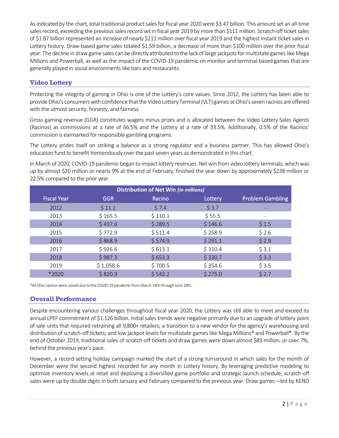As indicated by the chart, total traditional product sales for fiscal year 2020 were \$3.47 billion. This amount set an all-time sales record, exceeding the previous sales record set in fiscal year 2019 by more than \$111 million. Scratch-off ticket sales of \$1.87 billion represented an increase of nearly \$211 million over fiscal year 2019 and the highest instant ticket sales in Lottery history. Draw-based game sales totaled \$1.59 billion, a decrease of more than \$100 million over the prior fiscal year. The decline in draw game sales can be directly attributed to the lack of large jackpots for multistate games like Mega Millions and Powerball, as well as the impact of the COVID-19 pandemic on monitor and terminal-based games that are generally played in social environments like bars and restaurants.

#### **Video Lottery**

Protecting the integrity of gaming in Ohio is one of the Lottery's core values. Since 2012, the Lottery has been able to provide Ohio's consumerswith confidence that the Video Lottery Terminal (VLT) games at Ohio's seven racinos are offered with the utmost security, honesty, and fairness.

Gross gaming revenue (GGR) constitutes wagers minus prizes and is allocated between the Video Lottery Sales Agents (Racinos) as commissions at a rate of 66.5% and the Lottery at a rate of 33.5%. Additionally, 0.5% of the Racinos' commission is earmarked for responsible gambling programs.

The Lottery prides itself on striking a balance as a strong regulator and a business partner. This has allowed Ohio's education fund to benefit tremendously over the past seven years as demonstrated in this chart.

In March of 2020, COVID-19 pandemic began to impact lottery revenues. Net win from video lottery terminals, which was up by almost \$20 million or nearly 9% at the end of February, finished the year down by approximately \$238 million or 22.5% compared to the prior year.

| <b>Distribution of Net Win (in millions)</b> |            |         |         |                         |  |  |  |
|----------------------------------------------|------------|---------|---------|-------------------------|--|--|--|
| Fiscal Year'                                 | <b>GGR</b> | Racino  | Lottery | <b>Problem Gambling</b> |  |  |  |
| 2012                                         | \$11.1     | \$7.4   | \$3.7   |                         |  |  |  |
| 2013                                         | \$165.5    | \$110.1 | \$55.5  |                         |  |  |  |
| 2014                                         | \$437.6    | \$289.5 | \$146.6 | \$1.5                   |  |  |  |
| 2015                                         | \$772.9    | \$511.4 | \$258.9 | \$2.6                   |  |  |  |
| 2016                                         | \$868.9    | \$574.9 | \$291.1 | \$2.9                   |  |  |  |
| 2017                                         | \$926.6    | \$613.1 | \$310.4 | \$3.1                   |  |  |  |
| 2018                                         | \$987.3    | \$653.3 | \$330.7 | \$3.3                   |  |  |  |
| 2019                                         | \$1,058.6  | \$700.5 | \$354.6 | \$3.5                   |  |  |  |
| *2020                                        | \$820.9    | \$543.2 | \$275.0 | \$2.7                   |  |  |  |

\*All Ohio racinos were closed due to the COVID-19 pandemic from March 14th through June 18th.

#### **Overall Performance**

Despite encountering various challenges throughout fiscal year 2020, the Lottery was still able to meet and exceed its annual LPEF commitment of \$1.126 billion. Initial sales trends were negative primarily due to an upgrade of lottery point of sale units that required retraining all 9,800+ retailers; a transition to a new vendor for the agency's warehousing and distribution of scratch-off tickets; and low jackpot levels for multistate games like Mega Millions® and Powerball®. By the end of October 2019, traditional sales of scratch-off tickets and draw games were down almost \$83 million, or over 7%, behind the previous year's pace.

However, a record-setting holiday campaign marked the start of a strong turnaround in which sales for the month of December were the second highest recorded for any month in Lottery history. By leveraging predictive modeling to optimize inventory levels at retail and deploying a diversified game portfolio and strategic launch schedule, scratch-off sales were up by double digits in both January and February compared to the previous year. Draw games—led by KENO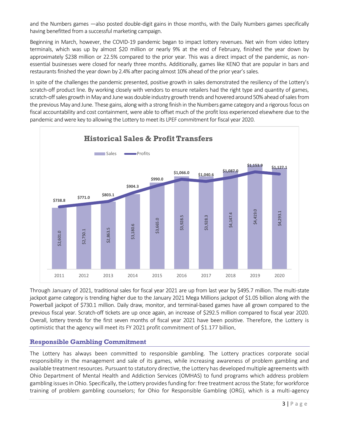and the Numbers games —also posted double-digit gains in those months, with the Daily Numbers games specifically having benefitted from a successful marketing campaign.

Beginning in March, however, the COVID-19 pandemic began to impact lottery revenues. Net win from video lottery terminals, which was up by almost \$20 million or nearly 9% at the end of February, finished the year down by approximately \$238 million or 22.5% compared to the prior year. This was a direct impact of the pandemic, as nonessential businesses were closed for nearly three months. Additionally, games like KENO that are popular in bars and restaurants finished the year down by 2.4% after pacing almost 10% ahead of the prior year's sales.

In spite of the challenges the pandemic presented, positive growth in sales demonstrated the resiliency of the Lottery's scratch-off product line. By working closely with vendors to ensure retailers had the right type and quantity of games, scratch-off sales growth in May and June was double industry growth trends and hovered around 50% ahead of sales from the previous May and June. These gains, along with a strong finish in the Numbers game category and a rigorous focus on fiscal accountability and cost containment, were able to offset much of the profit loss experienced elsewhere due to the pandemic and were key to allowing the Lottery to meet its LPEF commitment for fiscal year 2020.



Through January of 2021, traditional sales for fiscal year 2021 are up from last year by \$495.7 million. The multi-state jackpot game category is trending higher due to the January 2021 Mega Millions jackpot of \$1.05 billion along with the Powerball jackpot of \$730.1 million. Daily draw, monitor, and terminal-based games have all grown compared to the previous fiscal year. Scratch-off tickets are up once again, an increase of \$292.5 million compared to fiscal year 2020. Overall, lottery trends for the first seven months of fiscal year 2021 have been positive. Therefore, the Lottery is optimistic that the agency will meet its FY 2021 profit commitment of \$1.177 billion.

#### **Responsible Gambling Commitment**

The Lottery has always been committed to responsible gambling. The Lottery practices corporate social responsibility in the management and sale of its games, while increasing awareness of problem gambling and available treatment resources. Pursuant to statutory directive, the Lottery has developed multiple agreements with Ohio Department of Mental Health and Addiction Services (OMHAS) to fund programs which address problem gambling issues in Ohio. Specifically, the Lottery provides funding for: free treatment across the State; for workforce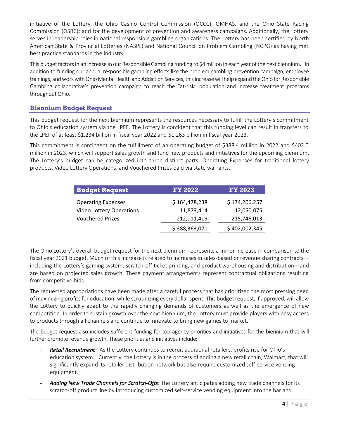initiative of the Lottery, the Ohio Casino Control Commission (OCCC), OMHAS, and the Ohio State Racing Commission (OSRC); and for the development of prevention and awareness campaigns. Additionally, the Lottery serves in leadership roles in national responsible gambling organizations. The Lottery has been certified by North American State & Provincial Lotteries (NASPL) and National Council on Problem Gambling (NCPG) as having met best practice standards in the industry.

This budget factors in an increase in our Responsible Gambling funding to \$4 million in each year of the next biennium. In addition to funding our annual responsible gambling efforts like the problem gambling prevention campaign, employee trainings, and work with Ohio Mental Health and Addiction Services, this increase will help expand the Ohio for Responsible Gambling collaborative's prevention campaign to reach the "at-risk" population and increase treatment programs throughout Ohio.

#### **Biennium Budget Request**

This budget request for the next biennium represents the resources necessary to fulfill the Lottery's commitment to Ohio's education system via the LPEF. The Lottery is confident that this funding level can result in transfers to the LPEF of at least \$1.234 billion in fiscal year 2022 and \$1.263 billion in fiscal year 2023.

This commitment is contingent on the fulfillment of an operating budget of \$388.4 million in 2022 and \$402.0 million in 2023, which will support sales growth and fund new products and initiatives for the upcoming biennium. The Lottery's budget can be categorized into three distinct parts: Operating Expenses for traditional lottery products, Video Lottery Operations, and Vouchered Prizes paid via state warrants.

| <b>Budget Request</b>           | <b>FY 2022</b> | <b>FY 2023</b> |  |
|---------------------------------|----------------|----------------|--|
| <b>Operating Expenses</b>       | \$164,478,238  | \$174,206,257  |  |
| <b>Video Lottery Operations</b> | 11,873,414     | 12,050,075     |  |
| <b>Vouchered Prizes</b>         | 212,011,419    | 215,746,013    |  |
|                                 | \$388,363,071  | \$402,002,345  |  |

The Ohio Lottery's overall budget request for the next biennium represents a minor increase in comparison to the fiscal year 2021 budget. Much of this increase is related to increases in sales-based or revenue sharing contracts including the Lottery's gaming system, scratch-off ticket printing, and product warehousing and distribution—and are based on projected sales growth. These payment arrangements represent contractual obligations resulting from competitive bids.

The requested appropriations have been made after a careful process that has prioritized the most pressing need of maximizing profits for education, while scrutinizing every dollar spent. This budget request, if approved, will allow the Lottery to quickly adapt to the rapidly changing demands of customers as well as the emergence of new competition. In order to sustain growth over the next biennium, the Lottery must provide players with easy access to products through all channels and continue to innovate to bring new games to market.

The budget request also includes sufficient funding for top agency priorities and initiatives for the biennium that will further promote revenue growth. These priorities and initiatives include:

- Retail Recruitment: As the Lottery continues to recruit additional retailers, profits rise for Ohio's education system. Currently, the Lottery is in the process of adding a new retail chain, Walmart, that will significantly expand its retailer distribution network but also require customized self-service vending equipment.
- *Adding New Trade Channels for Scratch-Offs*: The Lottery anticipates adding new trade channels for its scratch-off product line by introducing customized self-service vending equipment into the bar and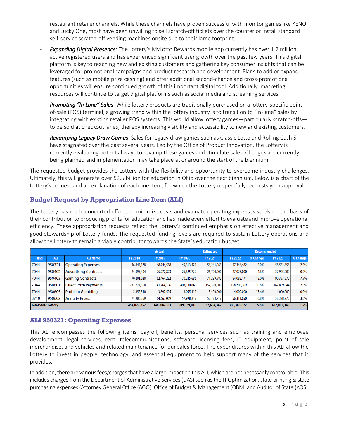restaurant retailer channels. While these channels have proven successful with monitor games like KENO and Lucky One, most have been unwilling to sell scratch-off tickets over the counter or install standard self-service scratch-off vending machines onsite due to their large footprint.

- *Expanding Digital Presence*: The Lottery's MyLotto Rewards mobile app currently has over 1.2 million active registered users and has experienced significant user growth over the past few years. This digital platform is key to reaching new and existing customers and gathering key consumer insights that can be leveraged for promotional campaigns and product research and development. Plans to add or expand features (such as mobile prize cashing) and offer additional second-chance and cross-promotional opportunities will ensure continued growth of this important digital tool. Additionally, marketing resources will continue to target digital platforms such as social media and streaming services.
- *Promoting "In Lane" Sales*: While lottery products are traditionally purchased on a lottery-specific pointof-sale (POS) terminal, a growing trend within the lottery industry is to transition to "in-lane" sales by integrating with existing retailer POS systems. This would allow lottery games—particularly scratch-offs to be sold at checkout lanes, thereby increasing visibility and accessibility to new and existing customers.
- *Revamping Legacy Draw Games*: Sales for legacy draw games such as Classic Lotto and Rolling Cash 5 have stagnated over the past several years. Led by the Office of Product Innovation, the Lottery is currently evaluating potential ways to revamp these games and stimulate sales. Changes are currently being planned and implementation may take place at or around the start of the biennium.

The requested budget provides the Lottery with the flexibility and opportunity to overcome industry challenges. Ultimately, this will generate over \$2.5 billion for education in Ohio over the next biennium. Below is a chart of the Lottery's request and an explanation of each line item, for which the Lottery respectfully requests your approval.

#### **Budget Request by Appropriation Line Item (ALI)**

The Lottery has made concerted efforts to minimize costs and evaluate operating expenses solely on the basis of their contribution to producing profits for education and has made every effort to evaluate and improve operational efficiency. These appropriation requests reflect the Lottery's continued emphasis on effective management and good stewardship of Lottery funds. The requested funding levels are required to sustain Lottery operations and allow the Lottery to remain a viable contributor towards the State's education budget.

|                            |            | <b>Actual</b>                |                | <b>Estimated</b> | <b>Recommended</b> |                |                |          |                |          |
|----------------------------|------------|------------------------------|----------------|------------------|--------------------|----------------|----------------|----------|----------------|----------|
| <b>Fund</b>                | <b>ALI</b> | <b>ALI Name</b>              | <b>FY 2018</b> | <b>FY 2019</b>   | <b>FY 2020</b>     | <b>FY 2021</b> | <b>FY 2022</b> | % Change | <b>FY 2023</b> | % Change |
| 7044                       | 950321     | <b>Operating Expenses</b>    | 46,845,178     | 48,744,538       | 49,313,421         | 56,241,063     | 57,344,482     | 2.0%     | 58,581,656     | 2.2%     |
| 7044                       | 950402     | <b>Advertising Contracts</b> | 24,395,404     | 25,272,893       | 25,625,729         | 26,700,000     | 27,925,000     | 4.6%     | 27,925,000     | 0.0%     |
| 7044                       | 950403     | <b>Gaming Contracts</b>      | 70,201,028     | 62,464,282       | 70,245,686         | 71,239,582     | 84,082,171     | 18.0%    | 90,357,570     | 7.5%     |
| 7044                       | 950601     | <b>Direct Prize Payments</b> | 237,777,568    | 141,764,106      | 403,100,846        | 157,390,000    | 158,700,369    | 0.8%     | 162,809,344    | 2.6%     |
| 7044                       | 950605     | Problem Gambling             | 2,952,310      | 3,397,505        | 3,055,119          | 3,400,000      | 4,000,000      | 17.6%    | 4,000,000      | 0.0%     |
| 8710                       | 950602     | <b>Annuity Prizes</b>        | 71,906,369     | 64,663,059       | 57,998,217         | 52,723,717     | 56,311,050     | 6.8%     | 58,328,775     | 3.6%     |
| <b>Total State Lottery</b> |            |                              | 454,077,857    | 346,306,383      | 609,339,018        | 367,694,362    | 388, 363, 072  | 5.6%     | 402,002,345    | 3.5%     |

#### **ALI 950321: Operating Expenses**

This ALI encompasses the following items: payroll, benefits, personal services such as training and employee development, legal services, rent, telecommunications, software licensing fees, IT equipment, point of sale merchandise, and vehicles and related maintenance for our sales force. The expenditures within this ALI allow the Lottery to invest in people, technology, and essential equipment to help support many of the services that it provides.

In addition, there are various fees/charges that have a large impact on this ALI, which are not necessarily controllable. This includes charges from the Department of Administrative Services (DAS) such as the IT Optimization, state printing & state purchasing expenses (Attorney General Office (AGO), Office of Budget & Management (OBM) and Auditor of State (AOS).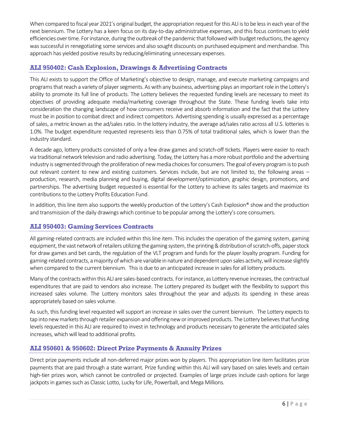When compared to fiscal year 2021's original budget, the appropriation request for this ALI is to be less in each year of the next biennium. The Lottery has a keen focus on its day-to-day administrative expenses, and this focus continues to yield efficiencies over time. For instance, during the outbreak of the pandemic that followed with budget reductions, the agency was successful in renegotiating some services and also sought discounts on purchased equipment and merchandise. This approach has yielded positive results by reducing/eliminating unnecessary expenses.

#### **ALI 950402: Cash Explosion, Drawings & Advertising Contracts**

This ALI exists to support the Office of Marketing's objective to design, manage, and execute marketing campaigns and programs that reach a variety of player segments. As with any business, advertising plays an important role in the Lottery's ability to promote its full line of products. The Lottery believes the requested funding levels are necessary to meet its objectives of providing adequate media/marketing coverage throughout the State. These funding levels take into consideration the changing landscape of how consumers receive and absorb information and the fact that the Lottery must be in position to combat direct and indirect competitors. Advertising spending is usually expressed as a percentage of sales, a metric known as the ad/sales ratio. In the lottery industry, the average ad/sales ratio across all U.S. lotteries is 1.0%. The budget expenditure requested represents less than 0.75% of total traditional sales, which is lower than the industry standard.

A decade ago, lottery products consisted of only a few draw games and scratch-off tickets. Players were easier to reach via traditional network television and radio advertising. Today, the Lottery has a more robust portfolio and the advertising industry is segmented through the proliferation of new media choices for consumers. The goal of every program is to push out relevant content to new and existing customers. Services include, but are not limited to, the following areas – production, research, media planning and buying, digital development/optimization, graphic design, promotions, and partnerships. The advertising budget requested is essential for the Lottery to achieve its sales targets and maximize its contributions to the Lottery Profits Education Fund.

In addition, this line item also supports the weekly production of the Lottery's Cash Explosion® show and the production and transmission of the daily drawingswhich continue to be popular among the Lottery's core consumers.

#### **ALI 950403: Gaming Services Contracts**

All gaming-related contracts are included within this line item. This includes the operation of the gaming system, gaming equipment, the vast network of retailers utilizing the gaming system, the printing & distribution ofscratch-offs, paper stock for draw games and bet cards, the regulation of the VLT program and funds for the player loyalty program. Funding for gaming-related contracts, a majority of which are variable in nature and dependent upon sales activity, will increase slightly when compared to the current biennium. This is due to an anticipated increase in sales for all lottery products.

Many of the contracts within this ALI are sales-based contracts. For instance, as Lottery revenue increases, the contractual expenditures that are paid to vendors also increase. The Lottery prepared its budget with the flexibility to support this increased sales volume. The Lottery monitors sales throughout the year and adjusts its spending in these areas appropriately based on sales volume.

As such, this funding level requested will support an increase in sales over the current biennium. The Lottery expects to tap into new markets through retailer expansion and offering new or improved products. The Lottery believes that funding levels requested in this ALI are required to invest in technology and products necessary to generate the anticipated sales increases, which will lead to additional profits.

#### **ALI 950601 & 950602: Direct Prize Payments & Annuity Prizes**

Direct prize payments include all non-deferred major prizes won by players. This appropriation line item facilitates prize payments that are paid through a state warrant. Prize funding within this ALI will vary based on sales levels and certain high-tier prizes won, which cannot be controlled or projected. Examples of large prizes include cash options for large jackpots in games such as Classic Lotto, Lucky for Life, Powerball, and Mega Millions.